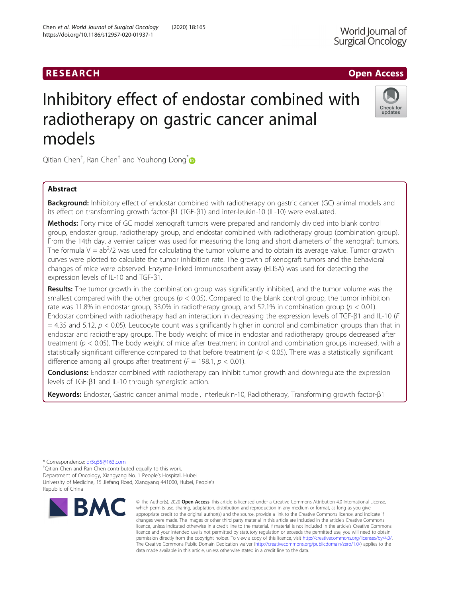# Inhibitory effect of endostar combined with radiotherapy on gastric cancer animal models

Qitian Chen $^\dagger$ , Ran Chen $^\dagger$  and Youhong Dong $^*$ 

# Abstract

**Background:** Inhibitory effect of endostar combined with radiotherapy on gastric cancer (GC) animal models and its effect on transforming growth factor-β1 (TGF-β1) and inter-leukin-10 (IL-10) were evaluated.

Methods: Forty mice of GC model xenograft tumors were prepared and randomly divided into blank control group, endostar group, radiotherapy group, and endostar combined with radiotherapy group (combination group). From the 14th day, a vernier caliper was used for measuring the long and short diameters of the xenograft tumors. The formula  $V = ab^2/2$  was used for calculating the tumor volume and to obtain its average value. Tumor growth curves were plotted to calculate the tumor inhibition rate. The growth of xenograft tumors and the behavioral changes of mice were observed. Enzyme-linked immunosorbent assay (ELISA) was used for detecting the expression levels of IL-10 and TGF-β1.

Results: The tumor growth in the combination group was significantly inhibited, and the tumor volume was the smallest compared with the other groups ( $p < 0.05$ ). Compared to the blank control group, the tumor inhibition rate was 11.8% in endostar group, 33.0% in radiotherapy group, and 52.1% in combination group ( $p < 0.01$ ). Endostar combined with radiotherapy had an interaction in decreasing the expression levels of TGF-β1 and IL-10 (F  $=$  4.35 and 5.12,  $p < 0.05$ ). Leucocyte count was significantly higher in control and combination groups than that in endostar and radiotherapy groups. The body weight of mice in endostar and radiotherapy groups decreased after treatment ( $p < 0.05$ ). The body weight of mice after treatment in control and combination groups increased, with a statistically significant difference compared to that before treatment ( $p < 0.05$ ). There was a statistically significant difference among all groups after treatment ( $F = 198.1$ ,  $p < 0.01$ ).

**Conclusions:** Endostar combined with radiotherapy can inhibit tumor growth and downregulate the expression levels of TGF-β1 and IL-10 through synergistic action.

Keywords: Endostar, Gastric cancer animal model, Interleukin-10, Radiotherapy, Transforming growth factor-β1

\* Correspondence: [dr5q55@163.com](mailto:dr5q55@163.com) †

**RMC** 

Qitian Chen and Ran Chen contributed equally to this work. Department of Oncology, Xiangyang No. 1 People's Hospital, Hubei University of Medicine, 15 Jiefang Road, Xiangyang 441000, Hubei, People's Republic of China



Chen et al. World Journal of Surgical Oncology (2020) 18:165 https://doi.org/10.1186/s12957-020-01937-1





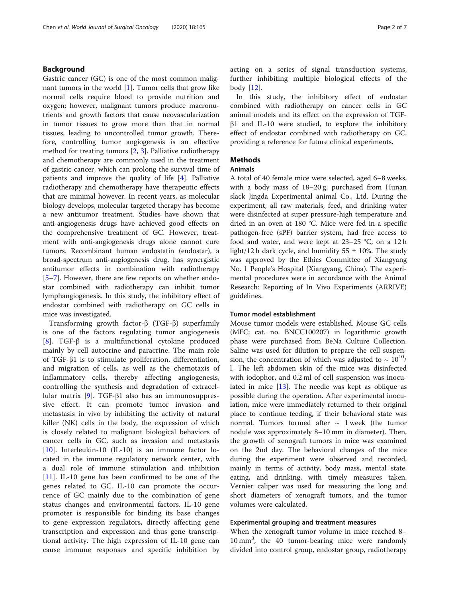# Background

Gastric cancer (GC) is one of the most common malignant tumors in the world  $[1]$  $[1]$ . Tumor cells that grow like normal cells require blood to provide nutrition and oxygen; however, malignant tumors produce macronutrients and growth factors that cause neovascularization in tumor tissues to grow more than that in normal tissues, leading to uncontrolled tumor growth. Therefore, controlling tumor angiogenesis is an effective method for treating tumors [[2,](#page-6-0) [3\]](#page-6-0). Palliative radiotherapy and chemotherapy are commonly used in the treatment of gastric cancer, which can prolong the survival time of patients and improve the quality of life [\[4](#page-6-0)]. Palliative radiotherapy and chemotherapy have therapeutic effects that are minimal however. In recent years, as molecular biology develops, molecular targeted therapy has become a new antitumor treatment. Studies have shown that anti-angiogenesis drugs have achieved good effects on the comprehensive treatment of GC. However, treatment with anti-angiogenesis drugs alone cannot cure tumors. Recombinant human endostatin (endostar), a broad-spectrum anti-angiogenesis drug, has synergistic antitumor effects in combination with radiotherapy [[5](#page-6-0)–[7\]](#page-6-0). However, there are few reports on whether endostar combined with radiotherapy can inhibit tumor lymphangiogenesis. In this study, the inhibitory effect of endostar combined with radiotherapy on GC cells in mice was investigated.

Transforming growth factor-β (TGF-β) superfamily is one of the factors regulating tumor angiogenesis [[8\]](#page-6-0). TGF-β is a multifunctional cytokine produced mainly by cell autocrine and paracrine. The main role of TGF-β1 is to stimulate proliferation, differentiation, and migration of cells, as well as the chemotaxis of inflammatory cells, thereby affecting angiogenesis, controlling the synthesis and degradation of extracellular matrix [[9\]](#page-6-0). TGF-β1 also has an immunosuppressive effect. It can promote tumor invasion and metastasis in vivo by inhibiting the activity of natural killer (NK) cells in the body, the expression of which is closely related to malignant biological behaviors of cancer cells in GC, such as invasion and metastasis [[10\]](#page-6-0). Interleukin-10 (IL-10) is an immune factor located in the immune regulatory network center, with a dual role of immune stimulation and inhibition [[11\]](#page-6-0). IL-10 gene has been confirmed to be one of the genes related to GC. IL-10 can promote the occurrence of GC mainly due to the combination of gene status changes and environmental factors. IL-10 gene promoter is responsible for binding its base changes to gene expression regulators, directly affecting gene transcription and expression and thus gene transcriptional activity. The high expression of IL-10 gene can cause immune responses and specific inhibition by acting on a series of signal transduction systems, further inhibiting multiple biological effects of the body [[12](#page-6-0)].

In this study, the inhibitory effect of endostar combined with radiotherapy on cancer cells in GC animal models and its effect on the expression of TGFβ1 and IL-10 were studied, to explore the inhibitory effect of endostar combined with radiotherapy on GC, providing a reference for future clinical experiments.

# **Methods**

# Animals

A total of 40 female mice were selected, aged 6–8 weeks, with a body mass of 18–20 g, purchased from Hunan slack Jingda Experimental animal Co., Ltd. During the experiment, all raw materials, feed, and drinking water were disinfected at super pressure-high temperature and dried in an oven at 180 °C. Mice were fed in a specific pathogen-free (sPF) barrier system, had free access to food and water, and were kept at 23–25 °C, on a 12 h light/12 h dark cycle, and humidity  $55 \pm 10$ %. The study was approved by the Ethics Committee of Xiangyang No. 1 People's Hospital (Xiangyang, China). The experimental procedures were in accordance with the Animal Research: Reporting of In Vivo Experiments (ARRIVE) guidelines.

#### Tumor model establishment

Mouse tumor models were established. Mouse GC cells (MFC; cat. no. BNCC100207) in logarithmic growth phase were purchased from BeNa Culture Collection. Saline was used for dilution to prepare the cell suspension, the concentration of which was adjusted to  $\sim 10^{10}$ / l. The left abdomen skin of the mice was disinfected with iodophor, and 0.2 ml of cell suspension was inoculated in mice [[13\]](#page-6-0). The needle was kept as oblique as possible during the operation. After experimental inoculation, mice were immediately returned to their original place to continue feeding, if their behavioral state was normal. Tumors formed after  $\sim$  1 week (the tumor nodule was approximately 8–10 mm in diameter). Then, the growth of xenograft tumors in mice was examined on the 2nd day. The behavioral changes of the mice during the experiment were observed and recorded, mainly in terms of activity, body mass, mental state, eating, and drinking, with timely measures taken. Vernier caliper was used for measuring the long and short diameters of xenograft tumors, and the tumor volumes were calculated.

# Experimental grouping and treatment measures

When the xenograft tumor volume in mice reached 8– 10 mm<sup>3</sup> , the 40 tumor-bearing mice were randomly divided into control group, endostar group, radiotherapy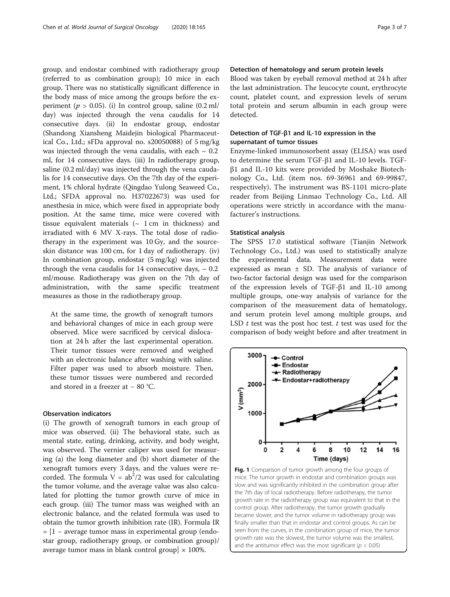<span id="page-2-0"></span>group, and endostar combined with radiotherapy group (referred to as combination group); 10 mice in each group. There was no statistically significant difference in the body mass of mice among the groups before the experiment ( $p > 0.05$ ). (i) In control group, saline (0.2 ml/ day) was injected through the vena caudalis for 14 consecutive days. (ii) In endostar group, endostar (Shandong Xiansheng Maidejin biological Pharmaceutical Co., Ltd.; sFDa approval no. s20050088) of 5 mg/kg was injected through the vena caudalis, with each  $\sim 0.2$ ml, for 14 consecutive days. (iii) In radiotherapy group, saline (0.2 ml/day) was injected through the vena caudalis for 14 consecutive days. On the 7th day of the experiment, 1% chloral hydrate (Qingdao Yulong Seaweed Co., Ltd.; SFDA approval no. H37022673) was used for anesthesia in mice, which were fixed in appropriate body position. At the same time, mice were covered with tissue equivalent materials  $($   $\sim$  1 cm in thickness) and irradiated with 6 MV X-rays. The total dose of radiotherapy in the experiment was 10 Gy, and the sourceskin distance was 100 cm, for 1 day of radiotherapy. (iv) In combination group, endostar (5 mg/kg) was injected through the vena caudalis for 14 consecutive days,  $\sim 0.2$ ml/mouse. Radiotherapy was given on the 7th day of administration, with the same specific treatment measures as those in the radiotherapy group.

At the same time, the growth of xenograft tumors and behavioral changes of mice in each group were observed. Mice were sacrificed by cervical dislocation at 24 h after the last experimental operation. Their tumor tissues were removed and weighed with an electronic balance after washing with saline. Filter paper was used to absorb moisture. Then, these tumor tissues were numbered and recorded and stored in a freezer at − 80 °C.

## Observation indicators

(i) The growth of xenograft tumors in each group of mice was observed. (ii) The behavioral state, such as mental state, eating, drinking, activity, and body weight, was observed. The vernier caliper was used for measuring (a) the long diameter and (b) short diameter of the xenograft tumors every 3 days, and the values were recorded. The formula  $V = ab^2/2$  was used for calculating the tumor volume, and the average value was also calculated for plotting the tumor growth curve of mice in each group. (iii) The tumor mass was weighed with an electronic balance, and the related formula was used to obtain the tumor growth inhibition rate (IR). Formula IR = [1 − average tumor mass in experimental group (endostar group, radiotherapy group, or combination group)/ average tumor mass in blank control group]  $\times$  100%.

# Detection of hematology and serum protein levels

Blood was taken by eyeball removal method at 24 h after the last administration. The leucocyte count, erythrocyte count, platelet count, and expression levels of serum total protein and serum albumin in each group were detected.

# Detection of TGF-β1 and IL-10 expression in the supernatant of tumor tissues

Enzyme-linked immunosorbent assay (ELISA) was used to determine the serum TGF-β1 and IL-10 levels. TGFβ1 and IL-10 kits were provided by Moshake Biotechnology Co., Ltd. (item nos. 69-36961 and 69-99847, respectively). The instrument was BS-1101 micro-plate reader from Beijing Linmao Technology Co., Ltd. All operations were strictly in accordance with the manufacturer's instructions.

#### Statistical analysis

The SPSS 17.0 statistical software (Tianjin Network Technology Co., Ltd.) was used to statistically analyze the experimental data. Measurement data were expressed as mean  $\pm$  SD. The analysis of variance of two-factor factorial design was used for the comparison of the expression levels of TGF-β1 and IL-10 among multiple groups, one-way analysis of variance for the comparison of the measurement data of hematology, and serum protein level among multiple groups, and LSD  $t$  test was the post hoc test.  $t$  test was used for the comparison of body weight before and after treatment in



Fig. 1 Comparison of tumor growth among the four groups of mice. The tumor growth in endostar and combination groups was slow and was significantly inhibited in the combination group after the 7th day of local radiotherapy. Before radiotherapy, the tumor growth rate in the radiotherapy group was equivalent to that in the control group. After radiotherapy, the tumor growth gradually became slower, and the tumor volume in radiotherapy group was finally smaller than that in endostar and control groups. As can be seen from the curves, in the combination group of mice, the tumor growth rate was the slowest, the tumor volume was the smallest, and the antitumor effect was the most significant ( $p < 0.05$ )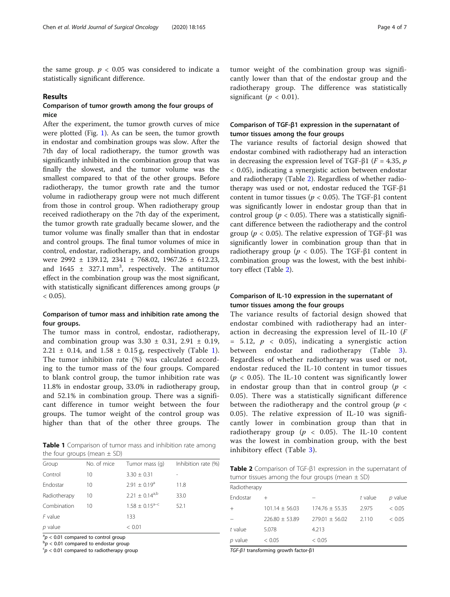the same group.  $p < 0.05$  was considered to indicate a statistically significant difference.

#### Results

# Comparison of tumor growth among the four groups of mice

After the experiment, the tumor growth curves of mice were plotted (Fig. [1](#page-2-0)). As can be seen, the tumor growth in endostar and combination groups was slow. After the 7th day of local radiotherapy, the tumor growth was significantly inhibited in the combination group that was finally the slowest, and the tumor volume was the smallest compared to that of the other groups. Before radiotherapy, the tumor growth rate and the tumor volume in radiotherapy group were not much different from those in control group. When radiotherapy group received radiotherapy on the 7th day of the experiment, the tumor growth rate gradually became slower, and the tumor volume was finally smaller than that in endostar and control groups. The final tumor volumes of mice in control, endostar, radiotherapy, and combination groups were 2992 ± 139.12, 2341 ± 768.02, 1967.26 ± 612.23, and  $1645 \pm 327.1 \text{ mm}^3$ , respectively. The antitumor effect in the combination group was the most significant, with statistically significant differences among groups  $(p)$  $< 0.05$ ).

# Comparison of tumor mass and inhibition rate among the four groups.

The tumor mass in control, endostar, radiotherapy, and combination group was  $3.30 \pm 0.31$ ,  $2.91 \pm 0.19$ , 2.21  $\pm$  0.14, and 1.58  $\pm$  0.15 g, respectively (Table 1). The tumor inhibition rate (%) was calculated according to the tumor mass of the four groups. Compared to blank control group, the tumor inhibition rate was 11.8% in endostar group, 33.0% in radiotherapy group, and 52.1% in combination group. There was a significant difference in tumor weight between the four groups. The tumor weight of the control group was higher than that of the other three groups. The

**Table 1** Comparison of tumor mass and inhibition rate among  $\frac{1}{100}$  inhibitory effect (Table [3\)](#page-4-0). the four groups (mean  $\pm$  SD)

| Group        | No. of mice | Tumor mass (g)               | Inhibition rate (%) |
|--------------|-------------|------------------------------|---------------------|
| Control      | 10          | $3.30 \pm 0.31$              |                     |
| Endostar     | 10          | $2.91 \pm 0.19^a$            | 11.8                |
| Radiotherapy | 10          | $2.21 \pm 0.14^{a,b}$        | 33.0                |
| Combination  | 10          | $1.58 \pm 0.15^{\text{a-c}}$ | 52.1                |
| $F$ value    |             | 133                          |                     |
| $p$ value    |             | < 0.01                       |                     |

 $a^2p < 0.01$  compared to control group

 $p > 0.01$  compared to endostar group

 $p < 0.01$  compared to radiotherapy group

tumor weight of the combination group was significantly lower than that of the endostar group and the radiotherapy group. The difference was statistically significant ( $p < 0.01$ ).

# Comparison of TGF-β1 expression in the supernatant of tumor tissues among the four groups

The variance results of factorial design showed that endostar combined with radiotherapy had an interaction in decreasing the expression level of TGF-β1 ( $F = 4.35$ ,  $p$ ) < 0.05), indicating a synergistic action between endostar and radiotherapy (Table 2). Regardless of whether radiotherapy was used or not, endostar reduced the TGF-β1 content in tumor tissues ( $p$  < 0.05). The TGF-β1 content was significantly lower in endostar group than that in control group ( $p < 0.05$ ). There was a statistically significant difference between the radiotherapy and the control group ( $p$  < 0.05). The relative expression of TGF-β1 was significantly lower in combination group than that in radiotherapy group ( $p < 0.05$ ). The TGF-β1 content in combination group was the lowest, with the best inhibitory effect (Table 2).

# Comparison of IL-10 expression in the supernatant of tumor tissues among the four groups

The variance results of factorial design showed that endostar combined with radiotherapy had an interaction in decreasing the expression level of IL-10 (F  $= 5.12, p < 0.05$ , indicating a synergistic action between endostar and radiotherapy (Table [3](#page-4-0)). Regardless of whether radiotherapy was used or not, endostar reduced the IL-10 content in tumor tissues  $(p < 0.05)$ . The IL-10 content was significantly lower in endostar group than that in control group ( $p <$ 0.05). There was a statistically significant difference between the radiotherapy and the control group ( $p <$ 0.05). The relative expression of IL-10 was significantly lower in combination group than that in radiotherapy group ( $p < 0.05$ ). The IL-10 content was the lowest in combination group, with the best

Table 2 Comparison of TGF-β1 expression in the supernatant of tumor tissues among the four groups (mean  $\pm$  SD)

| Radiotherapy |                  |                    |         |         |
|--------------|------------------|--------------------|---------|---------|
| Endostar     |                  |                    | t value | p value |
| $+$          | $101.14 + 56.03$ | $174.76 \pm 55.35$ | 2975    | < 0.05  |
|              | $776.80 + 53.89$ | $279.01 + 56.02$   | 2.110   | < 0.05  |
| $t$ value    | 5.078            | 4.213              |         |         |
| p value      | < 0.05           | < 0.05             |         |         |

TGF-β1 transforming growth factor-β1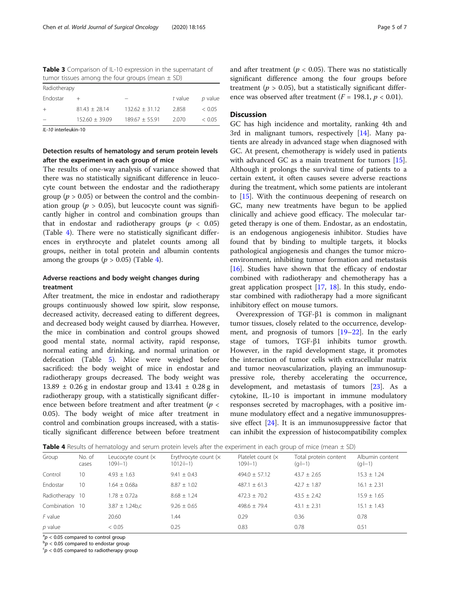<span id="page-4-0"></span>Table 3 Comparison of IL-10 expression in the supernatant of tumor tissues among the four groups (mean  $\pm$  SD)

| Radiotherapy |                    |                  |         |         |  |  |
|--------------|--------------------|------------------|---------|---------|--|--|
| Endostar     |                    |                  | t value | p value |  |  |
| $^{+}$       | $81.43 + 28.14$    | $132.62 + 31.12$ | 2.858   | < 0.05  |  |  |
|              | $152.60 \pm 39.09$ | $189.67 + 55.91$ | 2.070   | < 0.05  |  |  |

IL-10 interleukin-10

# Detection results of hematology and serum protein levels after the experiment in each group of mice

The results of one-way analysis of variance showed that there was no statistically significant difference in leucocyte count between the endostar and the radiotherapy group ( $p > 0.05$ ) or between the control and the combination group ( $p > 0.05$ ), but leucocyte count was significantly higher in control and combination groups than that in endostar and radiotherapy groups ( $p < 0.05$ ) (Table 4). There were no statistically significant differences in erythrocyte and platelet counts among all groups, neither in total protein and albumin contents among the groups ( $p > 0.05$ ) (Table 4).

# Adverse reactions and body weight changes during treatment

After treatment, the mice in endostar and radiotherapy groups continuously showed low spirit, slow response, decreased activity, decreased eating to different degrees, and decreased body weight caused by diarrhea. However, the mice in combination and control groups showed good mental state, normal activity, rapid response, normal eating and drinking, and normal urination or defecation (Table [5\)](#page-5-0). Mice were weighed before sacrificed: the body weight of mice in endostar and radiotherapy groups decreased. The body weight was 13.89 ± 0.26 g in endostar group and 13.41 ± 0.28 g in radiotherapy group, with a statistically significant difference between before treatment and after treatment ( $p <$ 0.05). The body weight of mice after treatment in control and combination groups increased, with a statistically significant difference between before treatment and after treatment ( $p < 0.05$ ). There was no statistically significant difference among the four groups before treatment ( $p > 0.05$ ), but a statistically significant difference was observed after treatment ( $F = 198.1, p < 0.01$ ).

# **Discussion**

GC has high incidence and mortality, ranking 4th and 3rd in malignant tumors, respectively [\[14\]](#page-6-0). Many patients are already in advanced stage when diagnosed with GC. At present, chemotherapy is widely used in patients with advanced GC as a main treatment for tumors [\[15](#page-6-0)]. Although it prolongs the survival time of patients to a certain extent, it often causes severe adverse reactions during the treatment, which some patients are intolerant to [\[15](#page-6-0)]. With the continuous deepening of research on GC, many new treatments have begun to be applied clinically and achieve good efficacy. The molecular targeted therapy is one of them. Endostar, as an endostatin, is an endogenous angiogenesis inhibitor. Studies have found that by binding to multiple targets, it blocks pathological angiogenesis and changes the tumor microenvironment, inhibiting tumor formation and metastasis [[16\]](#page-6-0). Studies have shown that the efficacy of endostar combined with radiotherapy and chemotherapy has a great application prospect  $[17, 18]$  $[17, 18]$  $[17, 18]$  $[17, 18]$ . In this study, endostar combined with radiotherapy had a more significant inhibitory effect on mouse tumors.

Overexpression of TGF-β1 is common in malignant tumor tissues, closely related to the occurrence, development, and prognosis of tumors [\[19](#page-6-0)–[22\]](#page-6-0). In the early stage of tumors, TGF-β1 inhibits tumor growth. However, in the rapid development stage, it promotes the interaction of tumor cells with extracellular matrix and tumor neovascularization, playing an immunosuppressive role, thereby accelerating the occurrence, development, and metastasis of tumors [[23](#page-6-0)]. As a cytokine, IL-10 is important in immune modulatory responses secreted by macrophages, with a positive immune modulatory effect and a negative immunosuppressive effect [[24\]](#page-6-0). It is an immunosuppressive factor that can inhibit the expression of histocompatibility complex

| Table 4 Results of hematology and serum protein levels after the experiment in each group of mice (mean ± SD) |  |  |  |  |  |
|---------------------------------------------------------------------------------------------------------------|--|--|--|--|--|
|---------------------------------------------------------------------------------------------------------------|--|--|--|--|--|

|                 |                 | $\tilde{\phantom{a}}$           |                                      |                                   |                                  |                            |
|-----------------|-----------------|---------------------------------|--------------------------------------|-----------------------------------|----------------------------------|----------------------------|
| Group           | No. of<br>cases | Leucocyte count (x<br>$109 - 1$ | Erythrocyte count $(x$<br>$1012 - 1$ | Platelet count $(x)$<br>$109 - 1$ | Total protein content<br>$(q-1)$ | Albumin content<br>$(q-1)$ |
| Control         | 10              | $4.93 \pm 1.63$                 | $9.41 \pm 0.43$                      | $494.0 + 57.12$                   | $43.7 + 2.65$                    | $15.3 \pm 1.24$            |
| Endostar        | 10              | $1.64 \pm 0.68a$                | $8.87 \pm 1.02$                      | $487.1 \pm 61.3$                  | $42.7 \pm 1.87$                  | $16.1 \pm 2.31$            |
| Radiotherapy 10 |                 | $1.78 \pm 0.72a$                | $8.68 \pm 1.24$                      | $472.3 \pm 70.2$                  | $43.5 \pm 2.42$                  | $15.9 \pm 1.65$            |
| Combination     | 10              | $3.87 \pm 1.24$ b,c             | $9.26 \pm 0.65$                      | $498.6 \pm 79.4$                  | $43.1 \pm 2.31$                  | $15.1 \pm 1.43$            |
| $F$ value       |                 | 20.60                           | 1.44                                 | 0.29                              | 0.36                             | 0.78                       |
| $p$ value       |                 | < 0.05                          | 0.25                                 | 0.83                              | 0.78                             | 0.51                       |

 $\binom{a}{b}$  < 0.05 compared to control group

 $p > 0.05$  compared to endostar group

 $p < 0.05$  compared to radiotherapy group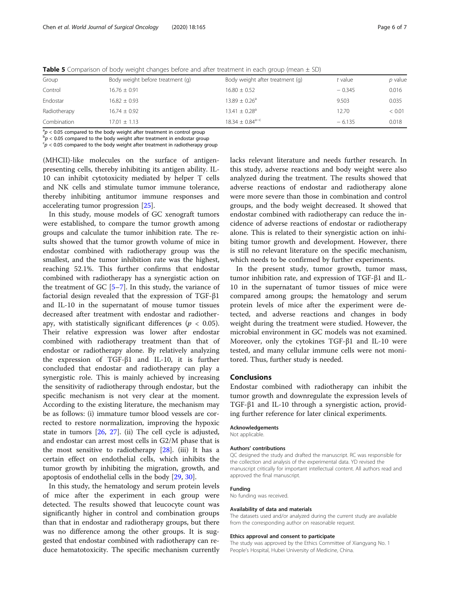| Group        | Body weight before treatment (g) | Body weight after treatment (g) | t value  | p value |
|--------------|----------------------------------|---------------------------------|----------|---------|
| Control      | $16.76 \pm 0.91$                 | $16.80 \pm 0.52$                | $-0.345$ | 0.016   |
| Endostar     | $16.82 \pm 0.93$                 | $13.89 \pm 0.26$ <sup>a</sup>   | 9.503    | 0.035   |
| Radiotherapy | $16.74 \pm 0.92$                 | $13.41 \pm 0.28$ <sup>a</sup>   | 12.70    | < 0.01  |
| Combination  | $17.01 + 1.13$                   | $18.34 \pm 0.84^{\text{a-c}}$   | $-6.135$ | 0.018   |

<span id="page-5-0"></span>**Table 5** Comparison of body weight changes before and after treatment in each group (mean  $\pm$  SD)

 $a_p \ge 0.05$  compared to the body weight after treatment in control group

 $p^{\text{b}}$   $p$  < 0.05 compared to the body weight after treatment in endostar group

 $\epsilon_p$  < 0.05 compared to the body weight after treatment in radiotherapy group

(MHCII)-like molecules on the surface of antigenpresenting cells, thereby inhibiting its antigen ability. IL-10 can inhibit cytotoxicity mediated by helper T cells and NK cells and stimulate tumor immune tolerance, thereby inhibiting antitumor immune responses and accelerating tumor progression [\[25\]](#page-6-0).

In this study, mouse models of GC xenograft tumors were established, to compare the tumor growth among groups and calculate the tumor inhibition rate. The results showed that the tumor growth volume of mice in endostar combined with radiotherapy group was the smallest, and the tumor inhibition rate was the highest, reaching 52.1%. This further confirms that endostar combined with radiotherapy has a synergistic action on the treatment of  $GC$  [[5](#page-6-0)–[7](#page-6-0)]. In this study, the variance of factorial design revealed that the expression of TGF-β1 and IL-10 in the supernatant of mouse tumor tissues decreased after treatment with endostar and radiotherapy, with statistically significant differences ( $p < 0.05$ ). Their relative expression was lower after endostar combined with radiotherapy treatment than that of endostar or radiotherapy alone. By relatively analyzing the expression of TGF-β1 and IL-10, it is further concluded that endostar and radiotherapy can play a synergistic role. This is mainly achieved by increasing the sensitivity of radiotherapy through endostar, but the specific mechanism is not very clear at the moment. According to the existing literature, the mechanism may be as follows: (i) immature tumor blood vessels are corrected to restore normalization, improving the hypoxic state in tumors [[26,](#page-6-0) [27](#page-6-0)]. (ii) The cell cycle is adjusted, and endostar can arrest most cells in G2/M phase that is the most sensitive to radiotherapy [[28\]](#page-6-0). (iii) It has a certain effect on endothelial cells, which inhibits the tumor growth by inhibiting the migration, growth, and apoptosis of endothelial cells in the body [\[29](#page-6-0), [30\]](#page-6-0).

In this study, the hematology and serum protein levels of mice after the experiment in each group were detected. The results showed that leucocyte count was significantly higher in control and combination groups than that in endostar and radiotherapy groups, but there was no difference among the other groups. It is suggested that endostar combined with radiotherapy can reduce hematotoxicity. The specific mechanism currently lacks relevant literature and needs further research. In this study, adverse reactions and body weight were also analyzed during the treatment. The results showed that adverse reactions of endostar and radiotherapy alone were more severe than those in combination and control groups, and the body weight decreased. It showed that endostar combined with radiotherapy can reduce the incidence of adverse reactions of endostar or radiotherapy alone. This is related to their synergistic action on inhibiting tumor growth and development. However, there is still no relevant literature on the specific mechanism, which needs to be confirmed by further experiments.

In the present study, tumor growth, tumor mass, tumor inhibition rate, and expression of TGF-β1 and IL-10 in the supernatant of tumor tissues of mice were compared among groups; the hematology and serum protein levels of mice after the experiment were detected, and adverse reactions and changes in body weight during the treatment were studied. However, the microbial environment in GC models was not examined. Moreover, only the cytokines TGF-β1 and IL-10 were tested, and many cellular immune cells were not monitored. Thus, further study is needed.

#### Conclusions

Endostar combined with radiotherapy can inhibit the tumor growth and downregulate the expression levels of TGF-β1 and IL-10 through a synergistic action, providing further reference for later clinical experiments.

#### Acknowledgements

Not applicable.

#### Authors' contributions

QC designed the study and drafted the manuscript. RC was responsible for the collection and analysis of the experimental data. YD revised the manuscript critically for important intellectual content. All authors read and approved the final manuscript.

#### Funding

No funding was received.

#### Availability of data and materials

The datasets used and/or analyzed during the current study are available from the corresponding author on reasonable request.

#### Ethics approval and consent to participate

The study was approved by the Ethics Committee of Xiangyang No. 1 People's Hospital, Hubei University of Medicine, China.